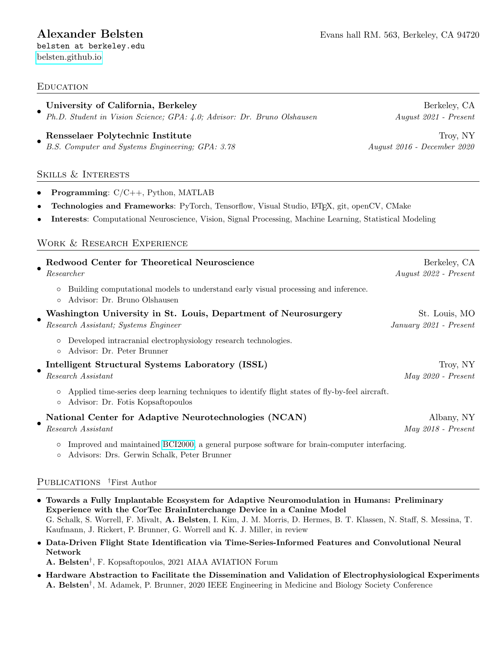belsten at berkeley.edu [belsten.github.io](https://belsten.github.io)

# **EDUCATION**

| University of California, Berkeley                                                                                                                                                                                                                                                                                                     | Berkeley, CA                |
|----------------------------------------------------------------------------------------------------------------------------------------------------------------------------------------------------------------------------------------------------------------------------------------------------------------------------------------|-----------------------------|
| Ph.D. Student in Vision Science; GPA: 4.0; Advisor: Dr. Bruno Olshausen                                                                                                                                                                                                                                                                | $August 2021 - Present$     |
| Rensselaer Polytechnic Institute                                                                                                                                                                                                                                                                                                       | Troy, NY                    |
| B.S. Computer and Systems Engineering; GPA: 3.78                                                                                                                                                                                                                                                                                       | August 2016 - December 2020 |
| <b>SKILLS &amp; INTERESTS</b>                                                                                                                                                                                                                                                                                                          |                             |
| <b>Programming:</b> $C/C++$ , Python, MATLAB<br>$\bullet$<br>Technologies and Frameworks: PyTorch, Tensorflow, Visual Studio, IATFX, git, openCV, CMake<br>$\bullet$<br>Interests: Computational Neuroscience, Vision, Signal Processing, Machine Learning, Statistical Modeling<br>$\bullet$<br><b>WORK &amp; RESEARCH EXPERIENCE</b> |                             |
| Redwood Center for Theoretical Neuroscience                                                                                                                                                                                                                                                                                            | Berkeley, CA                |
| Researcher                                                                                                                                                                                                                                                                                                                             | August 2022 - Present       |
| Building computational models to understand early visual processing and inference.<br>O<br>Advisor: Dr. Bruno Olshausen<br>$\circ$                                                                                                                                                                                                     |                             |
| Washington University in St. Louis, Department of Neurosurgery                                                                                                                                                                                                                                                                         | St. Louis, MO               |
| Research Assistant; Systems Engineer                                                                                                                                                                                                                                                                                                   | January 2021 - Present      |
| Developed intracranial electrophysiology research technologies.<br>$\circ$<br>Advisor: Dr. Peter Brunner<br>$\circ$                                                                                                                                                                                                                    |                             |
| Intelligent Structural Systems Laboratory (ISSL)                                                                                                                                                                                                                                                                                       | Troy, NY                    |
| Research Assistant                                                                                                                                                                                                                                                                                                                     | $May 2020 - Present$        |
| Applied time-series deep learning techniques to identify flight states of fly-by-feel aircraft.<br>Advisor: Dr. Fotis Kopsaftopoulos<br>$\circ$                                                                                                                                                                                        |                             |
| National Center for Adaptive Neurotechnologies (NCAN)                                                                                                                                                                                                                                                                                  | Albany, NY                  |
| $Research\ Assistant$                                                                                                                                                                                                                                                                                                                  | $May 2018 - Present$        |
| Improved and maintained BCI2000, a general purpose software for brain-computer interfacing.<br>$\circ$<br>Advisors: Drs. Gerwin Schalk, Peter Brunner<br>$\circ$                                                                                                                                                                       |                             |

# Publications †First Author

- Towards a Fully Implantable Ecosystem for Adaptive Neuromodulation in Humans: Preliminary Experience with the CorTec BrainInterchange Device in a Canine Model G. Schalk, S. Worrell, F. Mivalt, A. Belsten, I. Kim, J. M. Morris, D. Hermes, B. T. Klassen, N. Staff, S. Messina, T. Kaufmann, J. Rickert, P. Brunner, G. Worrell and K. J. Miller, in review
- Data-Driven Flight State Identification via Time-Series-Informed Features and Convolutional Neural Network

A. Belsten† , F. Kopsaftopoulos, 2021 AIAA AVIATION Forum

• Hardware Abstraction to Facilitate the Dissemination and Validation of Electrophysiological Experiments A. Belsten† , M. Adamek, P. Brunner, 2020 IEEE Engineering in Medicine and Biology Society Conference